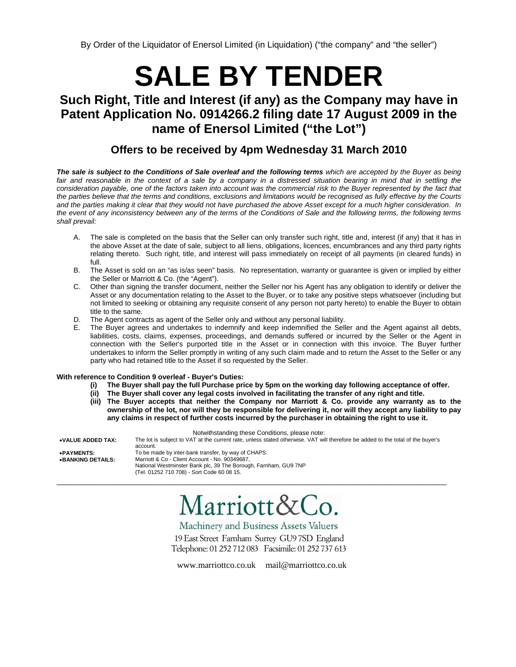By Order of the Liquidator of Enersol Limited (in Liquidation) ("the company" and "the seller")

# **SALE BY TENDER**

## **Such Right, Title and Interest (if any) as the Company may have in Patent Application No. 0914266.2 filing date 17 August 2009 in the name of Enersol Limited ("the Lot")**

## **Offers to be received by 4pm Wednesday 31 March 2010**

*The sale is subject to the Conditions of Sale overleaf and the following terms which are accepted by the Buyer as being*  fair and reasonable in the context of a sale by a company in a distressed situation bearing in mind that in settling the *consideration payable, one of the factors taken into account was the commercial risk to the Buyer represented by the fact that the parties believe that the terms and conditions, exclusions and limitations would be recognised as fully effective by the Courts and the parties making it clear that they would not have purchased the above Asset except for a much higher consideration. In*  the event of any inconsistency between any of the terms of the Conditions of Sale and the following terms, the following terms *shall prevail:* 

- A. The sale is completed on the basis that the Seller can only transfer such right, title and, interest (if any) that it has in the above Asset at the date of sale, subject to all liens, obligations, licences, encumbrances and any third party rights relating thereto. Such right, title, and interest will pass immediately on receipt of all payments (in cleared funds) in full.
- B. The Asset is sold on an "as is/as seen" basis. No representation, warranty or guarantee is given or implied by either the Seller or Marriott & Co. (the "Agent").
- C. Other than signing the transfer document, neither the Seller nor his Agent has any obligation to identify or deliver the Asset or any documentation relating to the Asset to the Buyer, or to take any positive steps whatsoever (including but not limited to seeking or obtaining any requisite consent of any person not party hereto) to enable the Buyer to obtain title to the same.
- D. The Agent contracts as agent of the Seller only and without any personal liability.
- E. The Buyer agrees and undertakes to indemnify and keep indemnified the Seller and the Agent against all debts, liabilities, costs, claims, expenses, proceedings, and demands suffered or incurred by the Seller or the Agent in connection with the Seller's purported title in the Asset or in connection with this invoice. The Buyer further undertakes to inform the Seller promptly in writing of any such claim made and to return the Asset to the Seller or any party who had retained title to the Asset if so requested by the Seller.

#### **With reference to Condition 9 overleaf - Buyer's Duties:**

- **(i) The Buyer shall pay the full Purchase price by 5pm on the working day following acceptance of offer.**
- **(ii) The Buyer shall cover any legal costs involved in facilitating the transfer of any right and title.**
- **(iii) The Buyer accepts that neither the Company nor Marriott & Co. provide any warranty as to the ownership of the lot, nor will they be responsible for delivering it, nor will they accept any liability to pay any claims in respect of further costs incurred by the purchaser in obtaining the right to use it.**

|                   | Notwithstanding these Conditions, please note:                                                                                              |
|-------------------|---------------------------------------------------------------------------------------------------------------------------------------------|
| •VALUE ADDED TAX: | The lot is subject to VAT at the current rate, unless stated otherwise. VAT will therefore be added to the total of the buyer's<br>account. |
| •PAYMENTS:        | To be made by inter-bank transfer, by way of CHAPS.                                                                                         |
| •BANKING DETAILS: | Marriott & Co - Client Account - No. 90349687,                                                                                              |
|                   | National Westminster Bank plc, 39 The Borough, Farnham, GU9 7NP                                                                             |
|                   | (Tel. 01252 710 708) - Sort Code 60 08 15.                                                                                                  |

\_\_\_\_\_\_\_\_\_\_\_\_\_\_\_\_\_\_\_\_\_\_\_\_\_\_\_\_\_\_\_\_\_\_\_\_\_\_\_\_\_\_\_\_\_\_\_\_\_\_\_\_\_\_\_\_\_\_\_\_\_\_\_\_\_\_\_\_\_\_\_\_\_\_\_\_\_\_\_\_\_\_

Marriott&Co.

Machinery and Business Assets Valuers 19 East Street Farnham Surrey GU9 7SD England Telephone: 01 252 712 083 Facsimile: 01 252 737 613

www.marriottco.co.uk mail@marriottco.co.uk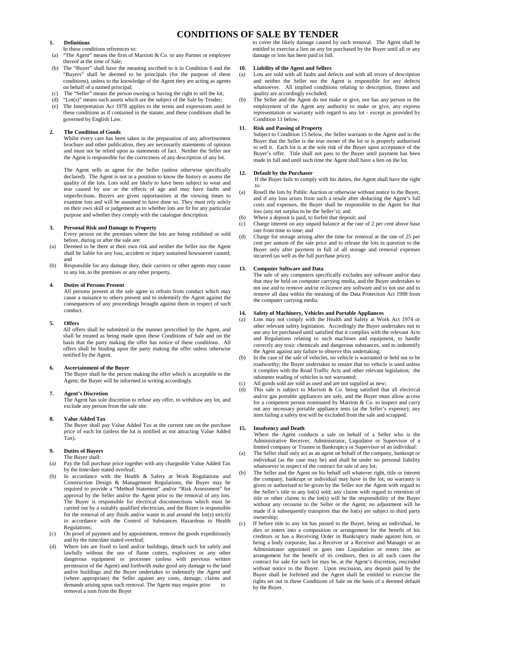### **CONDITIONS OF SALE BY TENDER**

#### **1. Definitions**

In these conditions references to:

- (a) "The Agent" means the firm of Marriott & Co. or any Partner or employee thereof at the time of Sale;
- (b) The "Buyer" shall have the meaning ascribed to it in Condition 6 and the "Buyers" shall be deemed to be principals (for the purpose of these conditions), unless to the knowledge of the Agent they are acting as agents on behalf of a named principal;
- (c) The "Seller" means the person owning or having the right to sell the lot;
- "Lot(s)" means such assets which are the subject of the Sale by Tender;
- The Interpretation Act 1978 applies to the terms and expressions used in these conditions as if contained in the statute, and these conditions shall be governed by English Law.

#### **2. The Condition of Goods**

Whilst every care has been taken in the preparation of any advertisement brochure and other publication, they are necessarily statements of opinion and must not be relied upon as statements of fact. Neither the Seller nor the Agent is responsible for the correctness of any description of any lot.

The Agent sells as agent for the Seller (unless otherwise specifically declared). The Agent is not in a position to know the history or assess the quality of the lots. Lots sold are likely to have been subject to wear and tear caused by use or the effects of age and may have faults and imperfections. Buyers are given opportunities at the viewing times to examine lots and will be assumed to have done so. They must rely solely on their own skill or judgement as to whether lots are fit for any particular purpose and whether they comply with the catalogue description.

#### **3. Personal Risk and Damage to Property**

 Every person on the premises where the lots are being exhibited or sold before, during or after the sale are:

- (a) Deemed to be there at their own risk and neither the Seller nor the Agent shall be liable for any loss, accident or injury sustained howsoever caused; and
- (b) Responsible for any damage they, their carriers or other agents may cause to any lot, to the premises or any other property.

#### **4. Duties of Persons Present**

All persons present at the sale agree to refrain from conduct which may cause a nuisance to others present and to indemnify the Agent against the consequences of any proceedings brought against them in respect of such conduct.

#### **5. Offers**

All offers shall be submitted in the manner prescribed by the Agent, and shall be treated as being made upon these Conditions of Sale and on the basis that the party making the offer has notice of these conditions. All offers shall be binding upon the party making the offer unless otherwise notified by the Agent.

**6. Ascertainment of the Buyer**  The Buyer shall be the person making the offer which is acceptable to the Agent; the Buyer will be informed in writing accordingly.

#### **7. Agent's Discretion**

The Agent has sole discretion to refuse any offer, to withdraw any lot, and exclude any person from the sale site.

#### **8. Value Added Tax**

The Buyer shall pay Value Added Tax at the current rate on the purchase price of each lot (unless the lot is notified as not attracting Value Added Tax).

#### **9. Duties of Buyers**  The Buyer shall:

- (a) Pay the full purchase price together with any chargeable Value Added Tax by the time/date stated overleaf;
- (b) In accordance with the Health & Safety at Work Regulations and Construction Design & Management Regulations, the Buyer may be required to provide a "Method Statement" and/or "Risk Assessment" for approval by the Seller and/or the Agent prior to the removal of any lots. The Buyer is responsible for electrical disconnections which must be carried out by a suitably qualified electrician, and the Buyer is responsible for the removal of any fluids and/or waste in and around the lot(s) strictly in accordance with the Control of Substances Hazardous to Health Regulations;
- (c) On proof of payment and by appointment, remove the goods expeditiously and by the time/date stated overleaf;
- (d) Where lots are fixed to land and/or buildings, detach such lot safely and lawfully without the use of flame cutters, explosives or any other dangerous equipment or processes (unless with previous written permission of the Agent) and forthwith make good any damage to the land and/or buildings and the Buyer undertakes to indemnify the Agent and (where appropriate) the Seller against any costs, damage, claims and demands arising upon such removal. The Agent may require prior removal a sum from the Buyer

to cover the likely damage caused by such removal. The Agent shall be entitled to exercise a lien on any lot purchased by the Buyer until all or any damage or loss has been paid in full.

#### **10. Liability of the Agent and Sellers**

- (a) Lots are sold with all faults and defects and with all errors of description and neither the Seller nor the Agent is responsible for any defects whatsoever. All implied conditions relating to description, fitness and quality are accordingly excluded;
- The Seller and the Agent do not make or give, nor has any person in the employment of the Agent any authority to make or give, any express representation or warranty with regard to any lot - except as provided by Condition 11 below.

#### **11. Risk and Passing of Property**

Subject to Condition 15 below, the Seller warrants to the Agent and to the Buyer that the Seller is the true owner of the lot or is properly authorised to sell it. Each lot is at the sole risk of the Buyer upon acceptance of the Buyer's offer. Title shall not pass to the Buyer until payment has been made in full and until such time the Agent shall have a lien on the lot.

#### **12. Default by the Purchaser**

 If the Buyer fails to comply with his duties, the Agent shall have the right to:

- (a) Resell the lots by Public Auction or otherwise without notice to the Buyer, and if any loss arises from such a resale after deducting the Agent's full costs and expenses, the Buyer shall be responsible to the Agent for that loss (any net surplus to be the Seller's); and
- (b) Where a deposit is paid, to forfeit that deposit; and
- (c) Charge interest on any unpaid balance at the rate of 2 per cent above base rate from time to time; and
- (d) Charge for storage arising after the time for removal at the rate of 25 per cent per annum of the sale price and to release the lots in question to the Buyer only after payment in full of all storage and removal expenses incurred (as well as the full purchase price).

#### **13. Computer Software and Data**

The sale of any computers specifically excludes any software and/or data that may be held on computer carrying media, and the Buyer undertakes to not use and to remove and/or re-licence any software and to not use and to remove all data within the meaning of the Data Protection Act 1998 from the computer carrying media.

#### **14. Safety of Machinery, Vehicles and Portable Appliances**

- Lots may not comply with the Health and Safety at Work Act 1974 or other relevant safety legislation. Accordingly the Buyer undertakes not to use any lot purchased until satisfied that it complies with the relevant Acts and Regulations relating to such machines and equipment, to handle correctly any toxic chemicals and dangerous substances, and to indemnify the Agent against any failure to observe this undertaking;
- In the case of the sale of vehicles, no vehicle is warranted or held out to be roadworthy; the Buyer undertakes to ensure that no vehicle is used unless it complies with the Road Traffic Acts and other relevant legislation; the odometer reading of vehicles is not warranted;
- (c) All goods sold are sold as used and are not supplied as new;
- (d) This sale is subject to Marriott & Co. being satisfied that all electrical and/or gas portable appliances are safe, and the Buyer must allow access for a competent person nominated by Marriott & Co. to inspect and carry out any necessary portable appliance tests (at the Seller's expense); any item failing a safety test will be excluded from the sale and scrapped.

#### **15. Insolvency and Death**

Where the Agent conducts a sale on behalf of a Seller who is the Administrative Receiver, Administrator, Liquidator or Supervisor of a limited company or Trustee in Bankruptcy or Supervisor of an individual:

- (a) The Seller shall only act as an agent on behalf of the company, bankrupt or individual (as the case may be) and shall be under no personal liability whatsoever in respect of the contract for sale of any lot;
- (b) The Seller and the Agent on his behalf sell whatever right, title or interest the company, bankrupt or individual may have in the lot; no warranty is given or authorised to be given by the Seller nor the Agent with regard to the Seller's title to any lot(s) sold; any claims with regard to retention of title or other claims to the lot(s) will be the responsibility of the Buyer without any recourse to the Seller or the Agent; no adjustment will be made if it subsequently transpires that the lot(s) are subject to third party ownership;
	- If before title to any lot has passed to the Buyer, being an individual, he dies or enters into a composition or arrangement for the benefit of his creditors or has a Receiving Order in Bankruptcy made against him, or being a body corporate, has a Receiver or a Receiver and Manager or an Administrator appointed or goes into Liquidation or enters into an arrangement for the benefit of its creditors, then in all such cases the contract for sale for such lot may be, at the Agent's discretion, rescinded without notice to the Buyer. Upon rescission, any deposit paid by the Buyer shall be forfeited and the Agent shall be entitled to exercise the rights set out in these Conditions of Sale on the basis of a deemed default by the Buyer.